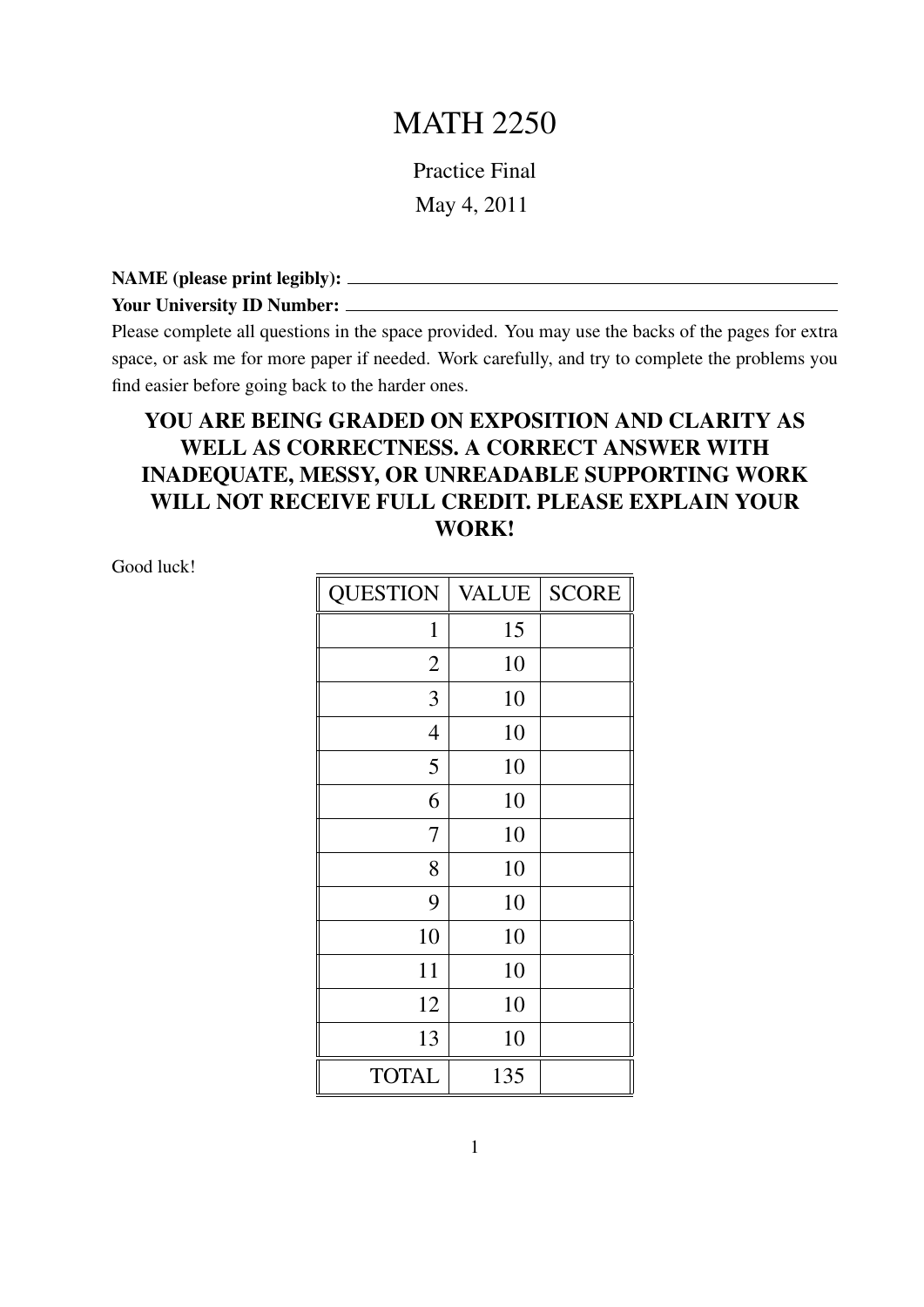## MATH 2250

Practice Final May 4, 2011

NAME (please print legibly):

Your University ID Number:

Please complete all questions in the space provided. You may use the backs of the pages for extra space, or ask me for more paper if needed. Work carefully, and try to complete the problems you find easier before going back to the harder ones.

## YOU ARE BEING GRADED ON EXPOSITION AND CLARITY AS WELL AS CORRECTNESS. A CORRECT ANSWER WITH INADEQUATE, MESSY, OR UNREADABLE SUPPORTING WORK WILL NOT RECEIVE FULL CREDIT. PLEASE EXPLAIN YOUR WORK!

Good luck!

| <b>QUESTION</b> | <b>VALUE</b> | <b>SCORE</b> |
|-----------------|--------------|--------------|
| $\mathbf{1}$    | 15           |              |
| $\mathbf{2}$    | 10           |              |
| 3               | 10           |              |
| $\overline{4}$  | 10           |              |
| 5               | 10           |              |
| 6               | 10           |              |
| 7               | 10           |              |
| 8               | 10           |              |
| 9               | 10           |              |
| 10              | 10           |              |
| 11              | 10           |              |
| 12              | 10           |              |
| 13              | 10           |              |
| <b>TOTAL</b>    | 135          |              |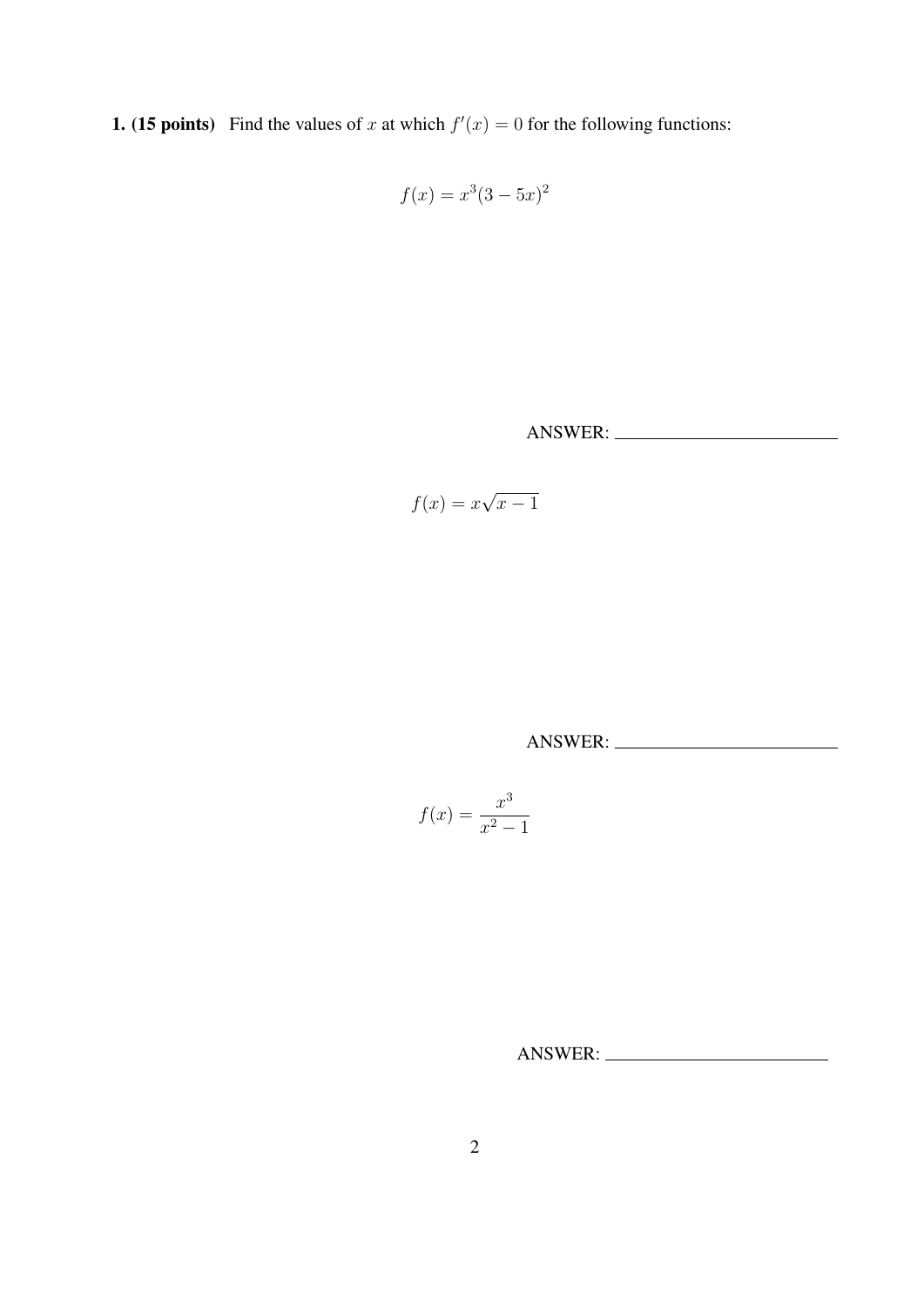**1.** (15 points) Find the values of x at which  $f'(x) = 0$  for the following functions:

$$
f(x) = x^3(3 - 5x)^2
$$

ANSWER:

$$
f(x) = x\sqrt{x-1}
$$

ANSWER:

$$
f(x) = \frac{x^3}{x^2 - 1}
$$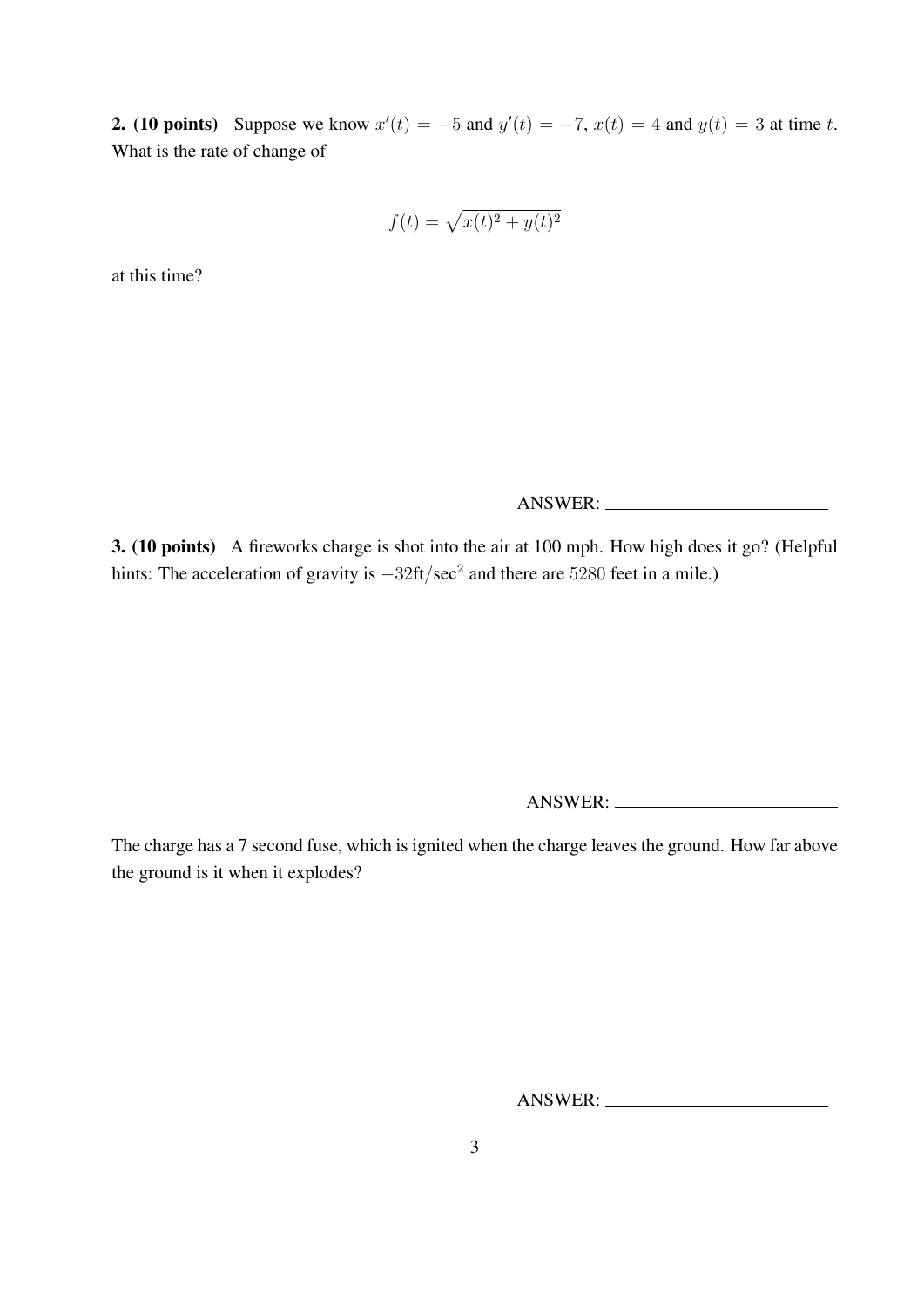**2.** (10 points) Suppose we know  $x'(t) = -5$  and  $y'(t) = -7$ ,  $x(t) = 4$  and  $y(t) = 3$  at time t. What is the rate of change of

$$
f(t) = \sqrt{x(t)^2 + y(t)^2}
$$

at this time?

ANSWER:

3. (10 points) A fireworks charge is shot into the air at 100 mph. How high does it go? (Helpful hints: The acceleration of gravity is  $-32 \text{ft/sec}^2$  and there are 5280 feet in a mile.)

ANSWER:

The charge has a 7 second fuse, which is ignited when the charge leaves the ground. How far above the ground is it when it explodes?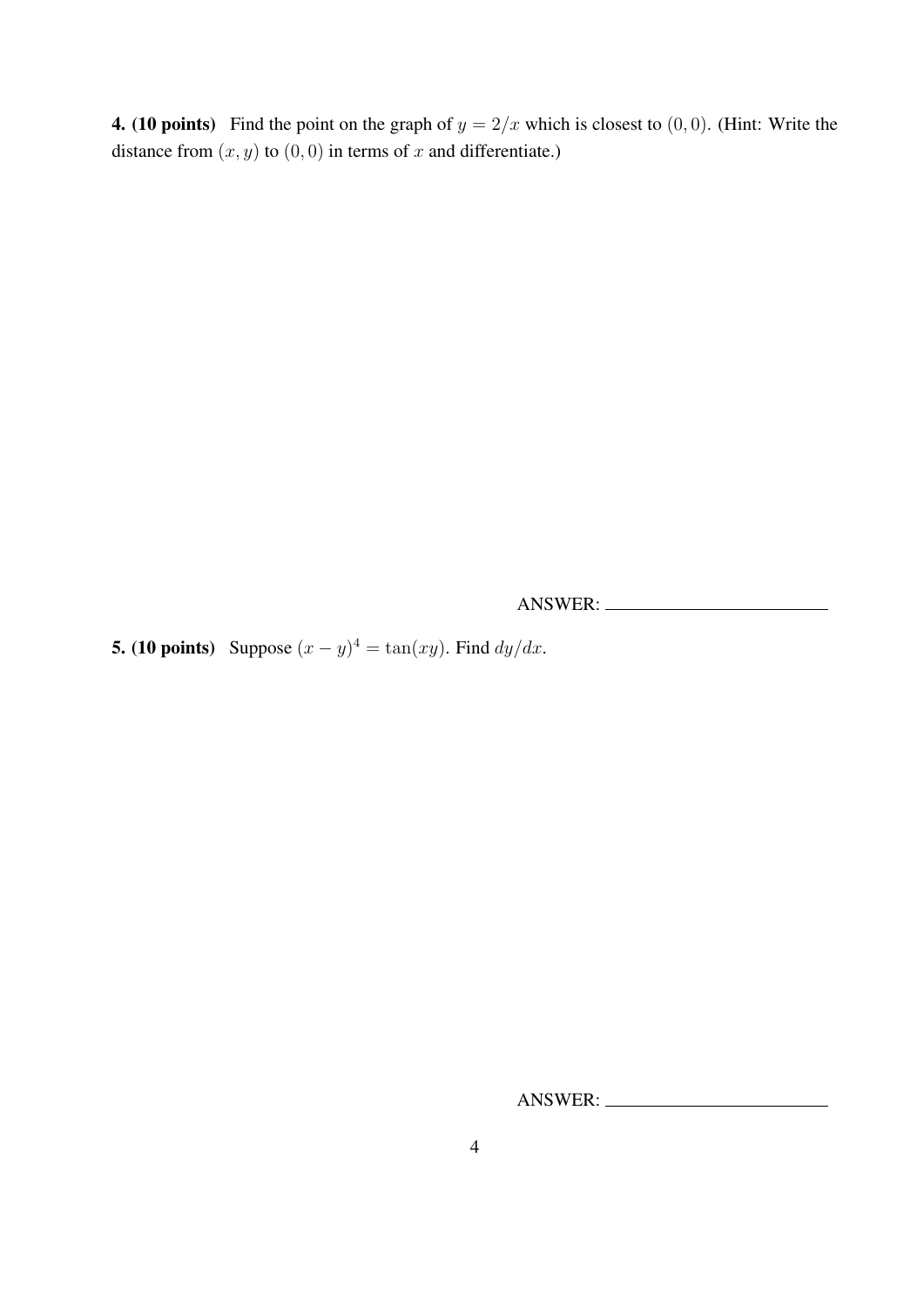4. (10 points) Find the point on the graph of  $y = 2/x$  which is closest to  $(0, 0)$ . (Hint: Write the distance from  $(x, y)$  to  $(0, 0)$  in terms of x and differentiate.)

ANSWER:

**5.** (10 points) Suppose  $(x - y)^4 = \tan(xy)$ . Find  $dy/dx$ .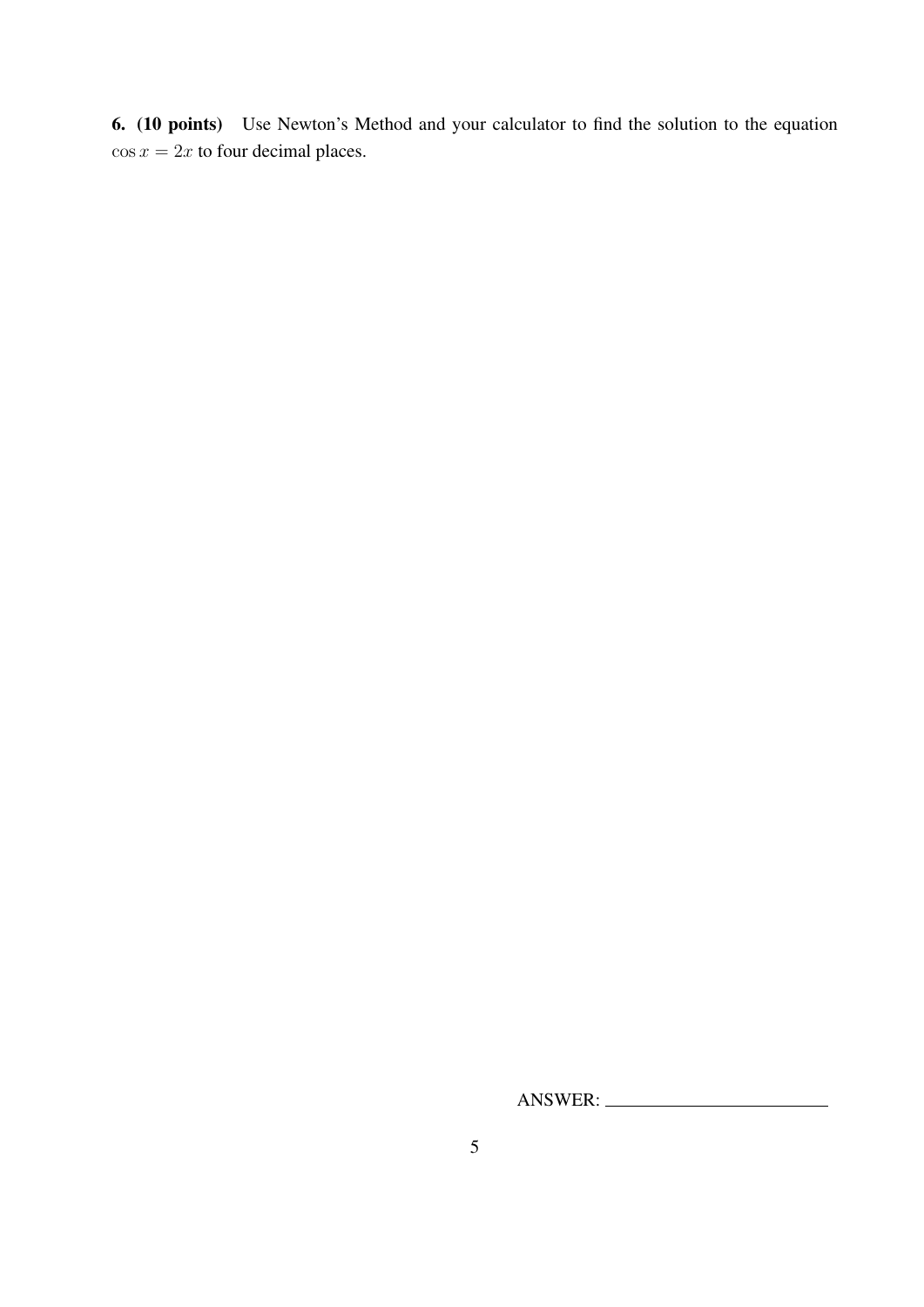6. (10 points) Use Newton's Method and your calculator to find the solution to the equation  $\cos x = 2x$  to four decimal places.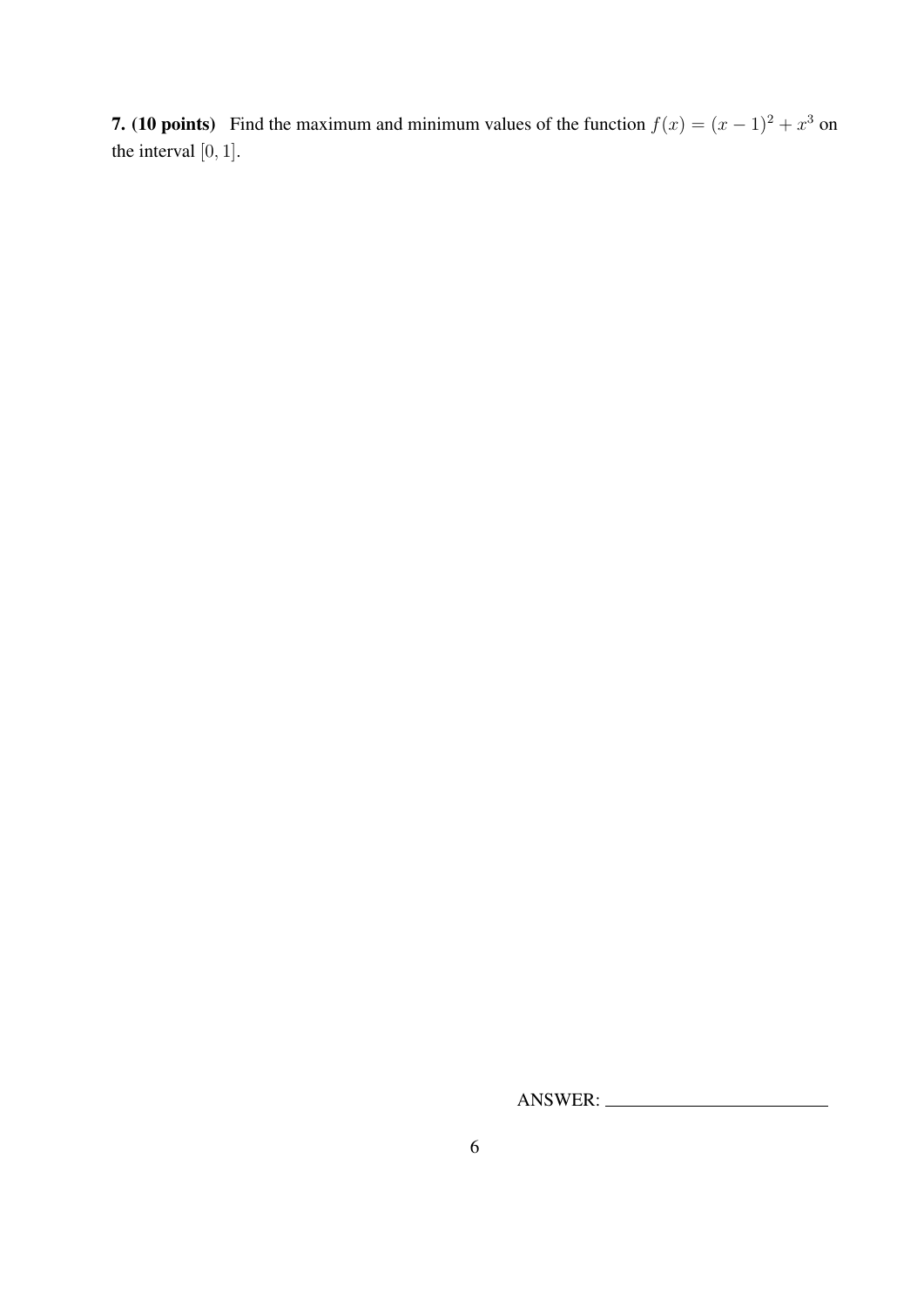**7.** (10 points) Find the maximum and minimum values of the function  $f(x) = (x - 1)^2 + x^3$  on the interval [0, 1].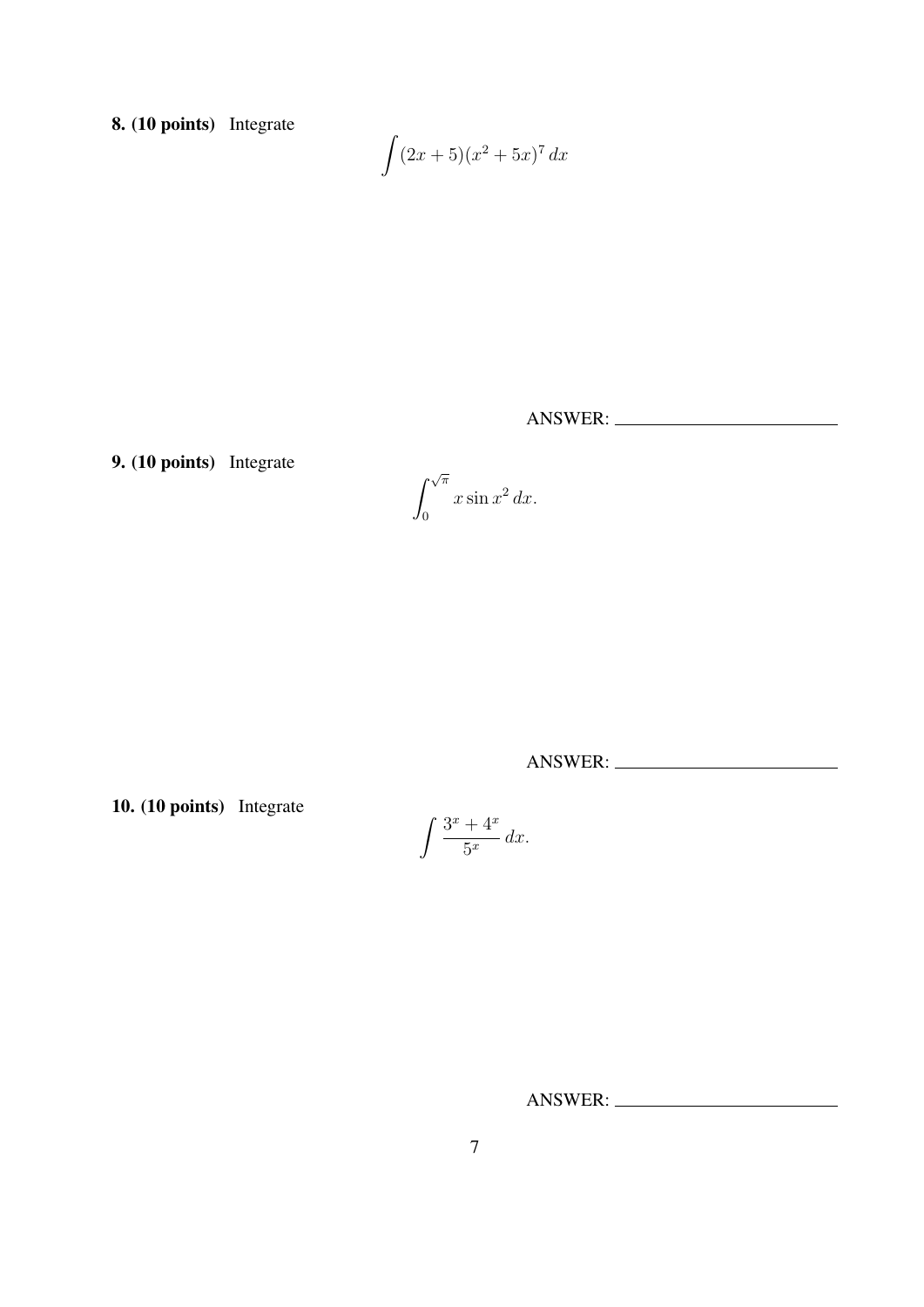8. (10 points) Integrate

$$
\int (2x+5)(x^2+5x)^7 dx
$$

ANSWER:

9. (10 points) Integrate

$$
\int_0^{\sqrt{\pi}} x \sin x^2 dx.
$$

ANSWER:

10. (10 points) Integrate

$$
\int \frac{3^x + 4^x}{5^x} \, dx.
$$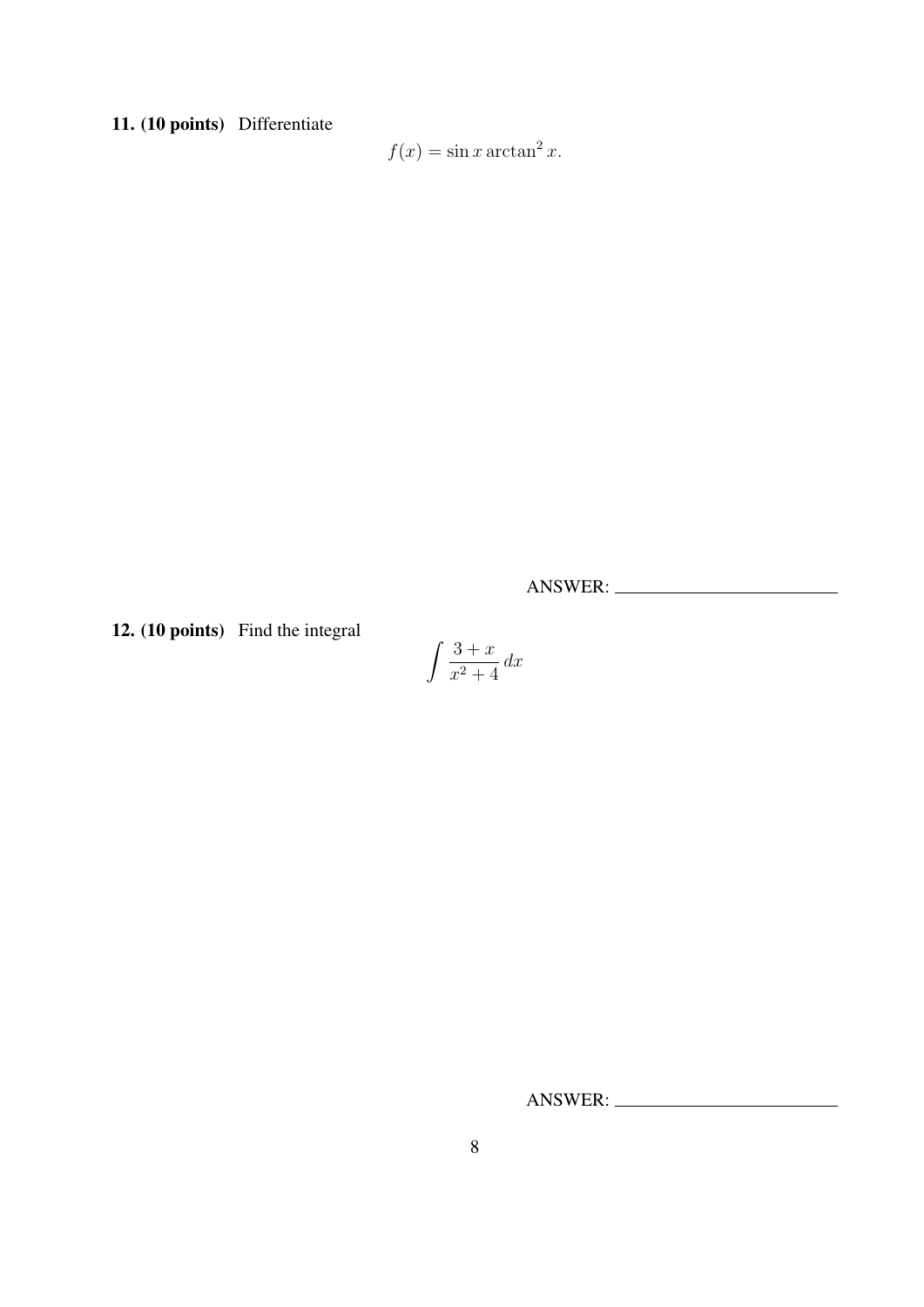11. (10 points) Differentiate

 $f(x) = \sin x \arctan^2 x.$ 

ANSWER:

12. (10 points) Find the integral

$$
\int \frac{3+x}{x^2+4} \, dx
$$